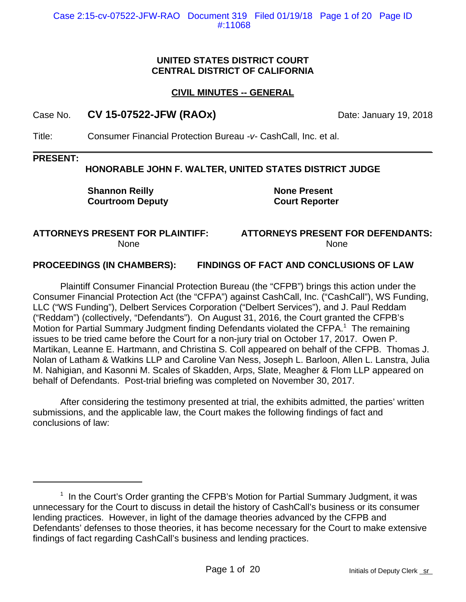#### **UNITED STATES DISTRICT COURT CENTRAL DISTRICT OF CALIFORNIA**

## **CIVIL MINUTES -- GENERAL**

## Case No. **CV 15-07522-JFW (RAOx)** Date: January 19, 2018

Title: Consumer Financial Protection Bureau *-v-* CashCall, Inc. et al.

#### **PRESENT:**

#### **HONORABLE JOHN F. WALTER, UNITED STATES DISTRICT JUDGE**

**Shannon Reilly Courtroom Deputy** **None Present Court Reporter**

#### **ATTORNEYS PRESENT FOR PLAINTIFF:** None

#### **ATTORNEYS PRESENT FOR DEFENDANTS:** None

#### **PROCEEDINGS (IN CHAMBERS): FINDINGS OF FACT AND CONCLUSIONS OF LAW**

Plaintiff Consumer Financial Protection Bureau (the "CFPB") brings this action under the Consumer Financial Protection Act (the "CFPA") against CashCall, Inc. ("CashCall"), WS Funding, LLC ("WS Funding"), Delbert Services Corporation ("Delbert Services"), and J. Paul Reddam ("Reddam") (collectively, "Defendants"). On August 31, 2016, the Court granted the CFPB's Motion for Partial Summary Judgment finding Defendants violated the CFPA.<sup>1</sup> The remaining issues to be tried came before the Court for a non-jury trial on October 17, 2017. Owen P. Martikan, Leanne E. Hartmann, and Christina S. Coll appeared on behalf of the CFPB. Thomas J. Nolan of Latham & Watkins LLP and Caroline Van Ness, Joseph L. Barloon, Allen L. Lanstra, Julia M. Nahigian, and Kasonni M. Scales of Skadden, Arps, Slate, Meagher & Flom LLP appeared on behalf of Defendants. Post-trial briefing was completed on November 30, 2017.

After considering the testimony presented at trial, the exhibits admitted, the parties' written submissions, and the applicable law, the Court makes the following findings of fact and conclusions of law:

<sup>&</sup>lt;sup>1</sup> In the Court's Order granting the CFPB's Motion for Partial Summary Judgment, it was unnecessary for the Court to discuss in detail the history of CashCall's business or its consumer lending practices. However, in light of the damage theories advanced by the CFPB and Defendants' defenses to those theories, it has become necessary for the Court to make extensive findings of fact regarding CashCall's business and lending practices.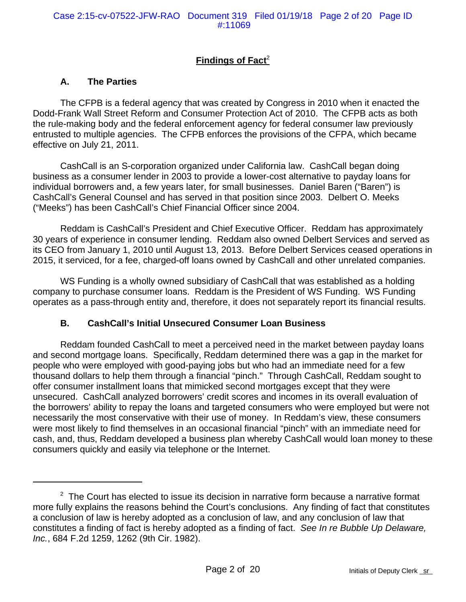# **Findings of Fact<sup>2</sup>**

## **A. The Parties**

The CFPB is a federal agency that was created by Congress in 2010 when it enacted the Dodd-Frank Wall Street Reform and Consumer Protection Act of 2010. The CFPB acts as both the rule-making body and the federal enforcement agency for federal consumer law previously entrusted to multiple agencies. The CFPB enforces the provisions of the CFPA, which became effective on July 21, 2011.

CashCall is an S-corporation organized under California law. CashCall began doing business as a consumer lender in 2003 to provide a lower-cost alternative to payday loans for individual borrowers and, a few years later, for small businesses. Daniel Baren ("Baren") is CashCall's General Counsel and has served in that position since 2003. Delbert O. Meeks ("Meeks") has been CashCall's Chief Financial Officer since 2004.

Reddam is CashCall's President and Chief Executive Officer. Reddam has approximately 30 years of experience in consumer lending. Reddam also owned Delbert Services and served as its CEO from January 1, 2010 until August 13, 2013. Before Delbert Services ceased operations in 2015, it serviced, for a fee, charged-off loans owned by CashCall and other unrelated companies.

WS Funding is a wholly owned subsidiary of CashCall that was established as a holding company to purchase consumer loans. Reddam is the President of WS Funding. WS Funding operates as a pass-through entity and, therefore, it does not separately report its financial results.

#### **B. CashCall's Initial Unsecured Consumer Loan Business**

Reddam founded CashCall to meet a perceived need in the market between payday loans and second mortgage loans. Specifically, Reddam determined there was a gap in the market for people who were employed with good-paying jobs but who had an immediate need for a few thousand dollars to help them through a financial "pinch." Through CashCall, Reddam sought to offer consumer installment loans that mimicked second mortgages except that they were unsecured. CashCall analyzed borrowers' credit scores and incomes in its overall evaluation of the borrowers' ability to repay the loans and targeted consumers who were employed but were not necessarily the most conservative with their use of money. In Reddam's view, these consumers were most likely to find themselves in an occasional financial "pinch" with an immediate need for cash, and, thus, Reddam developed a business plan whereby CashCall would loan money to these consumers quickly and easily via telephone or the Internet.

 $2$  The Court has elected to issue its decision in narrative form because a narrative format more fully explains the reasons behind the Court's conclusions. Any finding of fact that constitutes a conclusion of law is hereby adopted as a conclusion of law, and any conclusion of law that constitutes a finding of fact is hereby adopted as a finding of fact. *See In re Bubble Up Delaware, Inc.*, 684 F.2d 1259, 1262 (9th Cir. 1982).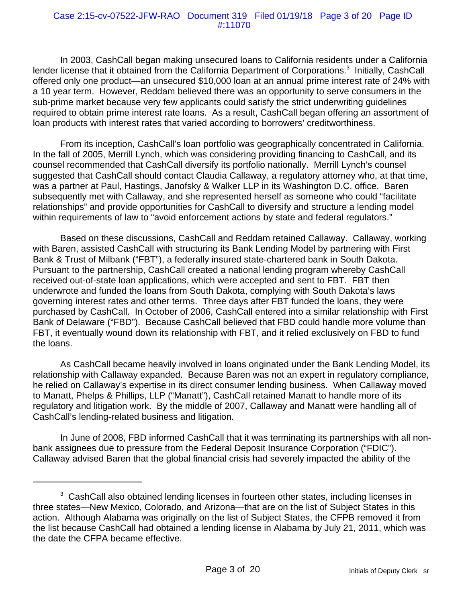#### Case 2:15-cv-07522-JFW-RAO Document 319 Filed 01/19/18 Page 3 of 20 Page ID #:11070

In 2003, CashCall began making unsecured loans to California residents under a California lender license that it obtained from the California Department of Corporations.<sup>3</sup> Initially, CashCall offered only one product—an unsecured \$10,000 loan at an annual prime interest rate of 24% with a 10 year term. However, Reddam believed there was an opportunity to serve consumers in the sub-prime market because very few applicants could satisfy the strict underwriting guidelines required to obtain prime interest rate loans. As a result, CashCall began offering an assortment of loan products with interest rates that varied according to borrowers' creditworthiness.

From its inception, CashCall's loan portfolio was geographically concentrated in California. In the fall of 2005, Merrill Lynch, which was considering providing financing to CashCall, and its counsel recommended that CashCall diversify its portfolio nationally. Merrill Lynch's counsel suggested that CashCall should contact Claudia Callaway, a regulatory attorney who, at that time, was a partner at Paul, Hastings, Janofsky & Walker LLP in its Washington D.C. office. Baren subsequently met with Callaway, and she represented herself as someone who could "facilitate relationships" and provide opportunities for CashCall to diversify and structure a lending model within requirements of law to "avoid enforcement actions by state and federal requiators."

Based on these discussions, CashCall and Reddam retained Callaway. Callaway, working with Baren, assisted CashCall with structuring its Bank Lending Model by partnering with First Bank & Trust of Milbank ("FBT"), a federally insured state-chartered bank in South Dakota. Pursuant to the partnership, CashCall created a national lending program whereby CashCall received out-of-state loan applications, which were accepted and sent to FBT. FBT then underwrote and funded the loans from South Dakota, complying with South Dakota's laws governing interest rates and other terms. Three days after FBT funded the loans, they were purchased by CashCall. In October of 2006, CashCall entered into a similar relationship with First Bank of Delaware ("FBD"). Because CashCall believed that FBD could handle more volume than FBT, it eventually wound down its relationship with FBT, and it relied exclusively on FBD to fund the loans.

As CashCall became heavily involved in loans originated under the Bank Lending Model, its relationship with Callaway expanded. Because Baren was not an expert in regulatory compliance, he relied on Callaway's expertise in its direct consumer lending business. When Callaway moved to Manatt, Phelps & Phillips, LLP ("Manatt"), CashCall retained Manatt to handle more of its regulatory and litigation work. By the middle of 2007, Callaway and Manatt were handling all of CashCall's lending-related business and litigation.

In June of 2008, FBD informed CashCall that it was terminating its partnerships with all nonbank assignees due to pressure from the Federal Deposit Insurance Corporation ("FDIC"). Callaway advised Baren that the global financial crisis had severely impacted the ability of the

 $3$  CashCall also obtained lending licenses in fourteen other states, including licenses in three states—New Mexico, Colorado, and Arizona—that are on the list of Subject States in this action. Although Alabama was originally on the list of Subject States, the CFPB removed it from the list because CashCall had obtained a lending license in Alabama by July 21, 2011, which was the date the CFPA became effective.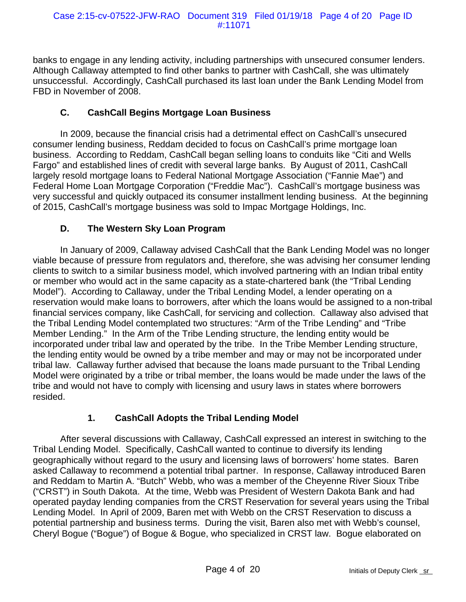banks to engage in any lending activity, including partnerships with unsecured consumer lenders. Although Callaway attempted to find other banks to partner with CashCall, she was ultimately unsuccessful. Accordingly, CashCall purchased its last loan under the Bank Lending Model from FBD in November of 2008.

# **C. CashCall Begins Mortgage Loan Business**

In 2009, because the financial crisis had a detrimental effect on CashCall's unsecured consumer lending business, Reddam decided to focus on CashCall's prime mortgage loan business. According to Reddam, CashCall began selling loans to conduits like "Citi and Wells Fargo" and established lines of credit with several large banks. By August of 2011, CashCall largely resold mortgage loans to Federal National Mortgage Association ("Fannie Mae") and Federal Home Loan Mortgage Corporation ("Freddie Mac"). CashCall's mortgage business was very successful and quickly outpaced its consumer installment lending business. At the beginning of 2015, CashCall's mortgage business was sold to Impac Mortgage Holdings, Inc.

# **D. The Western Sky Loan Program**

In January of 2009, Callaway advised CashCall that the Bank Lending Model was no longer viable because of pressure from regulators and, therefore, she was advising her consumer lending clients to switch to a similar business model, which involved partnering with an Indian tribal entity or member who would act in the same capacity as a state-chartered bank (the "Tribal Lending Model"). According to Callaway, under the Tribal Lending Model, a lender operating on a reservation would make loans to borrowers, after which the loans would be assigned to a non-tribal financial services company, like CashCall, for servicing and collection. Callaway also advised that the Tribal Lending Model contemplated two structures: "Arm of the Tribe Lending" and "Tribe Member Lending." In the Arm of the Tribe Lending structure, the lending entity would be incorporated under tribal law and operated by the tribe. In the Tribe Member Lending structure, the lending entity would be owned by a tribe member and may or may not be incorporated under tribal law. Callaway further advised that because the loans made pursuant to the Tribal Lending Model were originated by a tribe or tribal member, the loans would be made under the laws of the tribe and would not have to comply with licensing and usury laws in states where borrowers resided.

# **1. CashCall Adopts the Tribal Lending Model**

After several discussions with Callaway, CashCall expressed an interest in switching to the Tribal Lending Model. Specifically, CashCall wanted to continue to diversify its lending geographically without regard to the usury and licensing laws of borrowers' home states. Baren asked Callaway to recommend a potential tribal partner. In response, Callaway introduced Baren and Reddam to Martin A. "Butch" Webb, who was a member of the Cheyenne River Sioux Tribe ("CRST") in South Dakota. At the time, Webb was President of Western Dakota Bank and had operated payday lending companies from the CRST Reservation for several years using the Tribal Lending Model. In April of 2009, Baren met with Webb on the CRST Reservation to discuss a potential partnership and business terms. During the visit, Baren also met with Webb's counsel, Cheryl Bogue ("Bogue") of Bogue & Bogue, who specialized in CRST law. Bogue elaborated on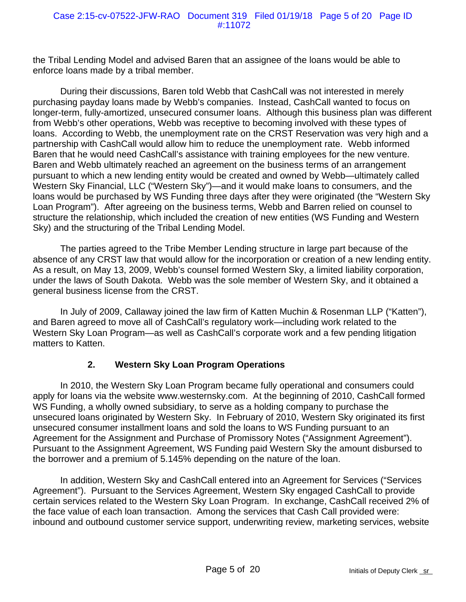the Tribal Lending Model and advised Baren that an assignee of the loans would be able to enforce loans made by a tribal member.

During their discussions, Baren told Webb that CashCall was not interested in merely purchasing payday loans made by Webb's companies. Instead, CashCall wanted to focus on longer-term, fully-amortized, unsecured consumer loans. Although this business plan was different from Webb's other operations, Webb was receptive to becoming involved with these types of loans. According to Webb, the unemployment rate on the CRST Reservation was very high and a partnership with CashCall would allow him to reduce the unemployment rate. Webb informed Baren that he would need CashCall's assistance with training employees for the new venture. Baren and Webb ultimately reached an agreement on the business terms of an arrangement pursuant to which a new lending entity would be created and owned by Webb—ultimately called Western Sky Financial, LLC ("Western Sky")—and it would make loans to consumers, and the loans would be purchased by WS Funding three days after they were originated (the "Western Sky Loan Program"). After agreeing on the business terms, Webb and Barren relied on counsel to structure the relationship, which included the creation of new entities (WS Funding and Western Sky) and the structuring of the Tribal Lending Model.

The parties agreed to the Tribe Member Lending structure in large part because of the absence of any CRST law that would allow for the incorporation or creation of a new lending entity. As a result, on May 13, 2009, Webb's counsel formed Western Sky, a limited liability corporation, under the laws of South Dakota. Webb was the sole member of Western Sky, and it obtained a general business license from the CRST.

In July of 2009, Callaway joined the law firm of Katten Muchin & Rosenman LLP ("Katten"), and Baren agreed to move all of CashCall's regulatory work—including work related to the Western Sky Loan Program—as well as CashCall's corporate work and a few pending litigation matters to Katten.

## **2. Western Sky Loan Program Operations**

In 2010, the Western Sky Loan Program became fully operational and consumers could apply for loans via the website www.westernsky.com. At the beginning of 2010, CashCall formed WS Funding, a wholly owned subsidiary, to serve as a holding company to purchase the unsecured loans originated by Western Sky. In February of 2010, Western Sky originated its first unsecured consumer installment loans and sold the loans to WS Funding pursuant to an Agreement for the Assignment and Purchase of Promissory Notes ("Assignment Agreement"). Pursuant to the Assignment Agreement, WS Funding paid Western Sky the amount disbursed to the borrower and a premium of 5.145% depending on the nature of the loan.

In addition, Western Sky and CashCall entered into an Agreement for Services ("Services Agreement"). Pursuant to the Services Agreement, Western Sky engaged CashCall to provide certain services related to the Western Sky Loan Program. In exchange, CashCall received 2% of the face value of each loan transaction. Among the services that Cash Call provided were: inbound and outbound customer service support, underwriting review, marketing services, website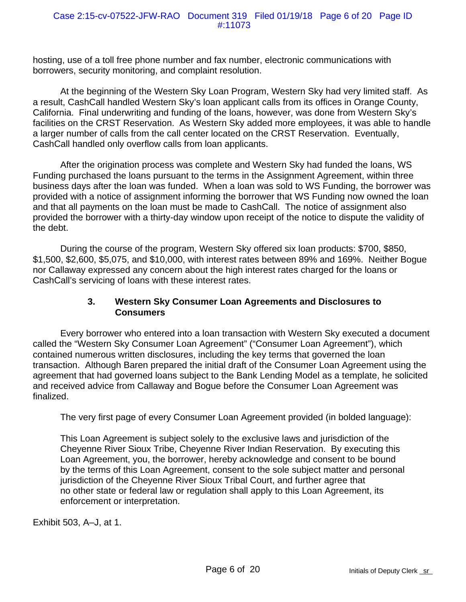hosting, use of a toll free phone number and fax number, electronic communications with borrowers, security monitoring, and complaint resolution.

At the beginning of the Western Sky Loan Program, Western Sky had very limited staff. As a result, CashCall handled Western Sky's loan applicant calls from its offices in Orange County, California. Final underwriting and funding of the loans, however, was done from Western Sky's facilities on the CRST Reservation. As Western Sky added more employees, it was able to handle a larger number of calls from the call center located on the CRST Reservation. Eventually, CashCall handled only overflow calls from loan applicants.

After the origination process was complete and Western Sky had funded the loans, WS Funding purchased the loans pursuant to the terms in the Assignment Agreement, within three business days after the loan was funded. When a loan was sold to WS Funding, the borrower was provided with a notice of assignment informing the borrower that WS Funding now owned the loan and that all payments on the loan must be made to CashCall. The notice of assignment also provided the borrower with a thirty-day window upon receipt of the notice to dispute the validity of the debt.

During the course of the program, Western Sky offered six loan products: \$700, \$850, \$1,500, \$2,600, \$5,075, and \$10,000, with interest rates between 89% and 169%. Neither Bogue nor Callaway expressed any concern about the high interest rates charged for the loans or CashCall's servicing of loans with these interest rates.

### **3. Western Sky Consumer Loan Agreements and Disclosures to Consumers**

Every borrower who entered into a loan transaction with Western Sky executed a document called the "Western Sky Consumer Loan Agreement" ("Consumer Loan Agreement"), which contained numerous written disclosures, including the key terms that governed the loan transaction. Although Baren prepared the initial draft of the Consumer Loan Agreement using the agreement that had governed loans subject to the Bank Lending Model as a template, he solicited and received advice from Callaway and Bogue before the Consumer Loan Agreement was finalized.

The very first page of every Consumer Loan Agreement provided (in bolded language):

This Loan Agreement is subject solely to the exclusive laws and jurisdiction of the Cheyenne River Sioux Tribe, Cheyenne River Indian Reservation. By executing this Loan Agreement, you, the borrower, hereby acknowledge and consent to be bound by the terms of this Loan Agreement, consent to the sole subject matter and personal jurisdiction of the Cheyenne River Sioux Tribal Court, and further agree that no other state or federal law or regulation shall apply to this Loan Agreement, its enforcement or interpretation.

Exhibit 503, A–J, at 1.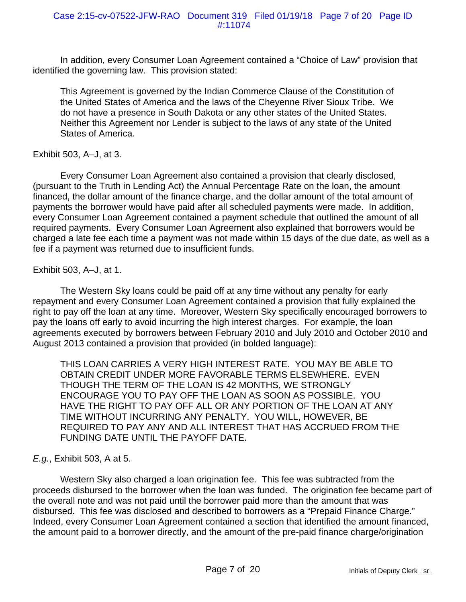In addition, every Consumer Loan Agreement contained a "Choice of Law" provision that identified the governing law. This provision stated:

This Agreement is governed by the Indian Commerce Clause of the Constitution of the United States of America and the laws of the Cheyenne River Sioux Tribe. We do not have a presence in South Dakota or any other states of the United States. Neither this Agreement nor Lender is subject to the laws of any state of the United States of America.

## Exhibit 503, A–J, at 3.

Every Consumer Loan Agreement also contained a provision that clearly disclosed, (pursuant to the Truth in Lending Act) the Annual Percentage Rate on the loan, the amount financed, the dollar amount of the finance charge, and the dollar amount of the total amount of payments the borrower would have paid after all scheduled payments were made. In addition, every Consumer Loan Agreement contained a payment schedule that outlined the amount of all required payments. Every Consumer Loan Agreement also explained that borrowers would be charged a late fee each time a payment was not made within 15 days of the due date, as well as a fee if a payment was returned due to insufficient funds.

### Exhibit 503, A–J, at 1.

The Western Sky loans could be paid off at any time without any penalty for early repayment and every Consumer Loan Agreement contained a provision that fully explained the right to pay off the loan at any time. Moreover, Western Sky specifically encouraged borrowers to pay the loans off early to avoid incurring the high interest charges. For example, the loan agreements executed by borrowers between February 2010 and July 2010 and October 2010 and August 2013 contained a provision that provided (in bolded language):

THIS LOAN CARRIES A VERY HIGH INTEREST RATE. YOU MAY BE ABLE TO OBTAIN CREDIT UNDER MORE FAVORABLE TERMS ELSEWHERE. EVEN THOUGH THE TERM OF THE LOAN IS 42 MONTHS, WE STRONGLY ENCOURAGE YOU TO PAY OFF THE LOAN AS SOON AS POSSIBLE. YOU HAVE THE RIGHT TO PAY OFF ALL OR ANY PORTION OF THE LOAN AT ANY TIME WITHOUT INCURRING ANY PENALTY. YOU WILL, HOWEVER, BE REQUIRED TO PAY ANY AND ALL INTEREST THAT HAS ACCRUED FROM THE FUNDING DATE UNTIL THE PAYOFF DATE.

## *E.g.*, Exhibit 503, A at 5.

Western Sky also charged a loan origination fee. This fee was subtracted from the proceeds disbursed to the borrower when the loan was funded. The origination fee became part of the overall note and was not paid until the borrower paid more than the amount that was disbursed. This fee was disclosed and described to borrowers as a "Prepaid Finance Charge." Indeed, every Consumer Loan Agreement contained a section that identified the amount financed, the amount paid to a borrower directly, and the amount of the pre-paid finance charge/origination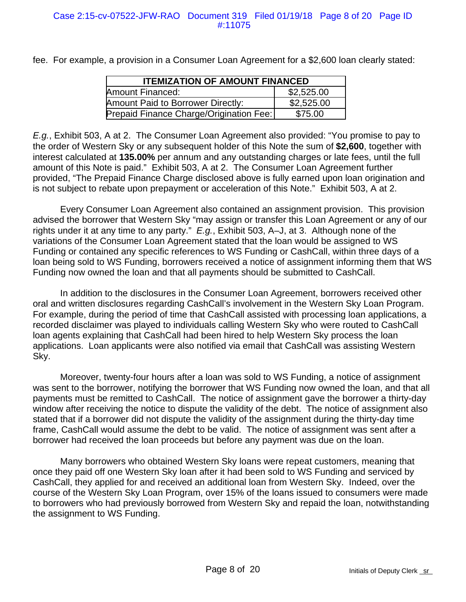fee. For example, a provision in a Consumer Loan Agreement for a \$2,600 loan clearly stated:

| <b>ITEMIZATION OF AMOUNT FINANCED</b>   |            |
|-----------------------------------------|------------|
| Amount Financed:                        | \$2,525.00 |
| Amount Paid to Borrower Directly:       | \$2,525.00 |
| Prepaid Finance Charge/Origination Fee: | \$75.00    |

*E.g.*, Exhibit 503, A at 2. The Consumer Loan Agreement also provided: "You promise to pay to the order of Western Sky or any subsequent holder of this Note the sum of **\$2,600**, together with interest calculated at **135.00%** per annum and any outstanding charges or late fees, until the full amount of this Note is paid." Exhibit 503, A at 2. The Consumer Loan Agreement further provided, "The Prepaid Finance Charge disclosed above is fully earned upon loan origination and is not subject to rebate upon prepayment or acceleration of this Note." Exhibit 503, A at 2.

Every Consumer Loan Agreement also contained an assignment provision. This provision advised the borrower that Western Sky "may assign or transfer this Loan Agreement or any of our rights under it at any time to any party." *E.g.*, Exhibit 503, A–J, at 3. Although none of the variations of the Consumer Loan Agreement stated that the loan would be assigned to WS Funding or contained any specific references to WS Funding or CashCall, within three days of a loan being sold to WS Funding, borrowers received a notice of assignment informing them that WS Funding now owned the loan and that all payments should be submitted to CashCall.

In addition to the disclosures in the Consumer Loan Agreement, borrowers received other oral and written disclosures regarding CashCall's involvement in the Western Sky Loan Program. For example, during the period of time that CashCall assisted with processing loan applications, a recorded disclaimer was played to individuals calling Western Sky who were routed to CashCall loan agents explaining that CashCall had been hired to help Western Sky process the loan applications. Loan applicants were also notified via email that CashCall was assisting Western Sky.

Moreover, twenty-four hours after a loan was sold to WS Funding, a notice of assignment was sent to the borrower, notifying the borrower that WS Funding now owned the loan, and that all payments must be remitted to CashCall. The notice of assignment gave the borrower a thirty-day window after receiving the notice to dispute the validity of the debt. The notice of assignment also stated that if a borrower did not dispute the validity of the assignment during the thirty-day time frame, CashCall would assume the debt to be valid. The notice of assignment was sent after a borrower had received the loan proceeds but before any payment was due on the loan.

Many borrowers who obtained Western Sky loans were repeat customers, meaning that once they paid off one Western Sky loan after it had been sold to WS Funding and serviced by CashCall, they applied for and received an additional loan from Western Sky. Indeed, over the course of the Western Sky Loan Program, over 15% of the loans issued to consumers were made to borrowers who had previously borrowed from Western Sky and repaid the loan, notwithstanding the assignment to WS Funding.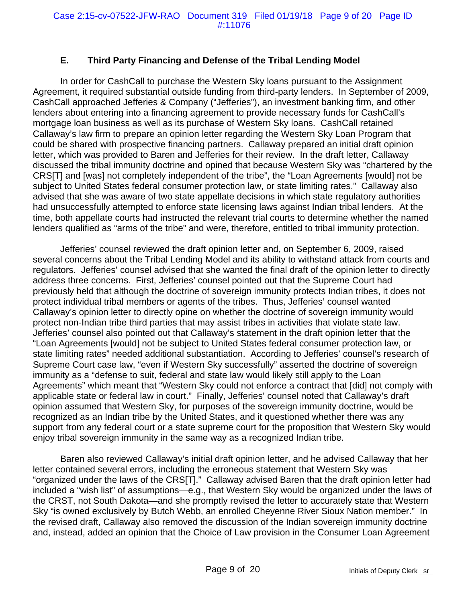## **E. Third Party Financing and Defense of the Tribal Lending Model**

In order for CashCall to purchase the Western Sky loans pursuant to the Assignment Agreement, it required substantial outside funding from third-party lenders. In September of 2009, CashCall approached Jefferies & Company ("Jefferies"), an investment banking firm, and other lenders about entering into a financing agreement to provide necessary funds for CashCall's mortgage loan business as well as its purchase of Western Sky loans. CashCall retained Callaway's law firm to prepare an opinion letter regarding the Western Sky Loan Program that could be shared with prospective financing partners. Callaway prepared an initial draft opinion letter, which was provided to Baren and Jefferies for their review. In the draft letter, Callaway discussed the tribal immunity doctrine and opined that because Western Sky was "chartered by the CRS[T] and [was] not completely independent of the tribe", the "Loan Agreements [would] not be subject to United States federal consumer protection law, or state limiting rates." Callaway also advised that she was aware of two state appellate decisions in which state regulatory authorities had unsuccessfully attempted to enforce state licensing laws against Indian tribal lenders. At the time, both appellate courts had instructed the relevant trial courts to determine whether the named lenders qualified as "arms of the tribe" and were, therefore, entitled to tribal immunity protection.

Jefferies' counsel reviewed the draft opinion letter and, on September 6, 2009, raised several concerns about the Tribal Lending Model and its ability to withstand attack from courts and regulators. Jefferies' counsel advised that she wanted the final draft of the opinion letter to directly address three concerns. First, Jefferies' counsel pointed out that the Supreme Court had previously held that although the doctrine of sovereign immunity protects Indian tribes, it does not protect individual tribal members or agents of the tribes. Thus, Jefferies' counsel wanted Callaway's opinion letter to directly opine on whether the doctrine of sovereign immunity would protect non-Indian tribe third parties that may assist tribes in activities that violate state law. Jefferies' counsel also pointed out that Callaway's statement in the draft opinion letter that the "Loan Agreements [would] not be subject to United States federal consumer protection law, or state limiting rates" needed additional substantiation. According to Jefferies' counsel's research of Supreme Court case law, "even if Western Sky successfully" asserted the doctrine of sovereign immunity as a "defense to suit, federal and state law would likely still apply to the Loan Agreements" which meant that "Western Sky could not enforce a contract that [did] not comply with applicable state or federal law in court." Finally, Jefferies' counsel noted that Callaway's draft opinion assumed that Western Sky, for purposes of the sovereign immunity doctrine, would be recognized as an Indian tribe by the United States, and it questioned whether there was any support from any federal court or a state supreme court for the proposition that Western Sky would enjoy tribal sovereign immunity in the same way as a recognized Indian tribe.

Baren also reviewed Callaway's initial draft opinion letter, and he advised Callaway that her letter contained several errors, including the erroneous statement that Western Sky was "organized under the laws of the CRS[T]." Callaway advised Baren that the draft opinion letter had included a "wish list" of assumptions—e.g., that Western Sky would be organized under the laws of the CRST, not South Dakota—and she promptly revised the letter to accurately state that Western Sky "is owned exclusively by Butch Webb, an enrolled Cheyenne River Sioux Nation member." In the revised draft, Callaway also removed the discussion of the Indian sovereign immunity doctrine and, instead, added an opinion that the Choice of Law provision in the Consumer Loan Agreement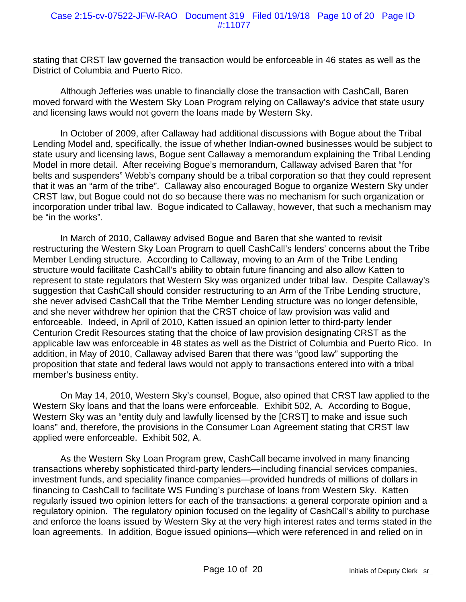stating that CRST law governed the transaction would be enforceable in 46 states as well as the District of Columbia and Puerto Rico.

Although Jefferies was unable to financially close the transaction with CashCall, Baren moved forward with the Western Sky Loan Program relying on Callaway's advice that state usury and licensing laws would not govern the loans made by Western Sky.

In October of 2009, after Callaway had additional discussions with Bogue about the Tribal Lending Model and, specifically, the issue of whether Indian-owned businesses would be subject to state usury and licensing laws, Bogue sent Callaway a memorandum explaining the Tribal Lending Model in more detail. After receiving Bogue's memorandum, Callaway advised Baren that "for belts and suspenders" Webb's company should be a tribal corporation so that they could represent that it was an "arm of the tribe". Callaway also encouraged Bogue to organize Western Sky under CRST law, but Bogue could not do so because there was no mechanism for such organization or incorporation under tribal law. Bogue indicated to Callaway, however, that such a mechanism may be "in the works".

In March of 2010, Callaway advised Bogue and Baren that she wanted to revisit restructuring the Western Sky Loan Program to quell CashCall's lenders' concerns about the Tribe Member Lending structure. According to Callaway, moving to an Arm of the Tribe Lending structure would facilitate CashCall's ability to obtain future financing and also allow Katten to represent to state regulators that Western Sky was organized under tribal law. Despite Callaway's suggestion that CashCall should consider restructuring to an Arm of the Tribe Lending structure, she never advised CashCall that the Tribe Member Lending structure was no longer defensible, and she never withdrew her opinion that the CRST choice of law provision was valid and enforceable. Indeed, in April of 2010, Katten issued an opinion letter to third-party lender Centurion Credit Resources stating that the choice of law provision designating CRST as the applicable law was enforceable in 48 states as well as the District of Columbia and Puerto Rico. In addition, in May of 2010, Callaway advised Baren that there was "good law" supporting the proposition that state and federal laws would not apply to transactions entered into with a tribal member's business entity.

On May 14, 2010, Western Sky's counsel, Bogue, also opined that CRST law applied to the Western Sky loans and that the loans were enforceable. Exhibit 502, A. According to Bogue, Western Sky was an "entity duly and lawfully licensed by the [CRST] to make and issue such loans" and, therefore, the provisions in the Consumer Loan Agreement stating that CRST law applied were enforceable. Exhibit 502, A.

As the Western Sky Loan Program grew, CashCall became involved in many financing transactions whereby sophisticated third-party lenders—including financial services companies, investment funds, and speciality finance companies—provided hundreds of millions of dollars in financing to CashCall to facilitate WS Funding's purchase of loans from Western Sky. Katten regularly issued two opinion letters for each of the transactions: a general corporate opinion and a regulatory opinion. The regulatory opinion focused on the legality of CashCall's ability to purchase and enforce the loans issued by Western Sky at the very high interest rates and terms stated in the loan agreements. In addition, Bogue issued opinions—which were referenced in and relied on in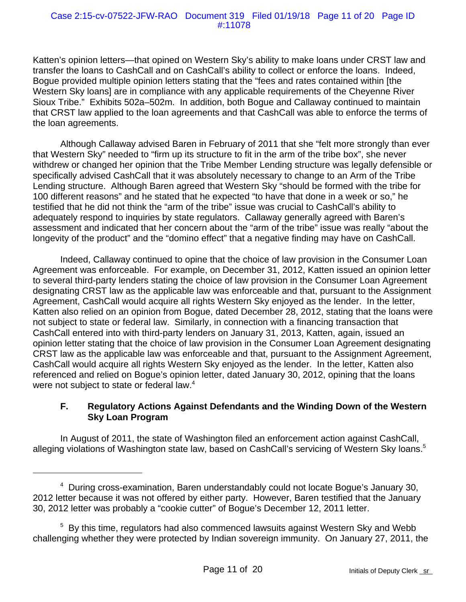#### Case 2:15-cv-07522-JFW-RAO Document 319 Filed 01/19/18 Page 11 of 20 Page ID #:11078

Katten's opinion letters—that opined on Western Sky's ability to make loans under CRST law and transfer the loans to CashCall and on CashCall's ability to collect or enforce the loans. Indeed, Bogue provided multiple opinion letters stating that the "fees and rates contained within [the Western Sky loans] are in compliance with any applicable requirements of the Cheyenne River Sioux Tribe." Exhibits 502a–502m. In addition, both Bogue and Callaway continued to maintain that CRST law applied to the loan agreements and that CashCall was able to enforce the terms of the loan agreements.

Although Callaway advised Baren in February of 2011 that she "felt more strongly than ever that Western Sky" needed to "firm up its structure to fit in the arm of the tribe box", she never withdrew or changed her opinion that the Tribe Member Lending structure was legally defensible or specifically advised CashCall that it was absolutely necessary to change to an Arm of the Tribe Lending structure. Although Baren agreed that Western Sky "should be formed with the tribe for 100 different reasons" and he stated that he expected "to have that done in a week or so," he testified that he did not think the "arm of the tribe" issue was crucial to CashCall's ability to adequately respond to inquiries by state regulators. Callaway generally agreed with Baren's assessment and indicated that her concern about the "arm of the tribe" issue was really "about the longevity of the product" and the "domino effect" that a negative finding may have on CashCall.

Indeed, Callaway continued to opine that the choice of law provision in the Consumer Loan Agreement was enforceable. For example, on December 31, 2012, Katten issued an opinion letter to several third-party lenders stating the choice of law provision in the Consumer Loan Agreement designating CRST law as the applicable law was enforceable and that, pursuant to the Assignment Agreement, CashCall would acquire all rights Western Sky enjoyed as the lender. In the letter, Katten also relied on an opinion from Bogue, dated December 28, 2012, stating that the loans were not subject to state or federal law. Similarly, in connection with a financing transaction that CashCall entered into with third-party lenders on January 31, 2013, Katten, again, issued an opinion letter stating that the choice of law provision in the Consumer Loan Agreement designating CRST law as the applicable law was enforceable and that, pursuant to the Assignment Agreement, CashCall would acquire all rights Western Sky enjoyed as the lender. In the letter, Katten also referenced and relied on Bogue's opinion letter, dated January 30, 2012, opining that the loans were not subject to state or federal law. $4$ 

#### **F. Regulatory Actions Against Defendants and the Winding Down of the Western Sky Loan Program**

In August of 2011, the state of Washington filed an enforcement action against CashCall, alleging violations of Washington state law, based on CashCall's servicing of Western Sky loans.<sup>5</sup>

<sup>&</sup>lt;sup>4</sup> During cross-examination, Baren understandably could not locate Bogue's January 30, 2012 letter because it was not offered by either party. However, Baren testified that the January 30, 2012 letter was probably a "cookie cutter" of Bogue's December 12, 2011 letter.

<sup>&</sup>lt;sup>5</sup> By this time, regulators had also commenced lawsuits against Western Sky and Webb challenging whether they were protected by Indian sovereign immunity. On January 27, 2011, the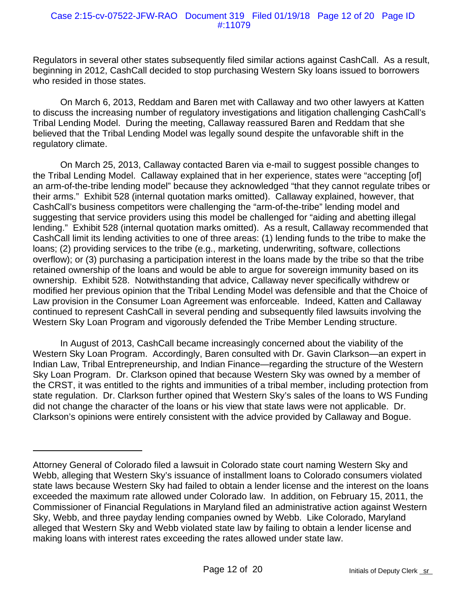Regulators in several other states subsequently filed similar actions against CashCall. As a result, beginning in 2012, CashCall decided to stop purchasing Western Sky loans issued to borrowers who resided in those states.

On March 6, 2013, Reddam and Baren met with Callaway and two other lawyers at Katten to discuss the increasing number of regulatory investigations and litigation challenging CashCall's Tribal Lending Model. During the meeting, Callaway reassured Baren and Reddam that she believed that the Tribal Lending Model was legally sound despite the unfavorable shift in the regulatory climate.

On March 25, 2013, Callaway contacted Baren via e-mail to suggest possible changes to the Tribal Lending Model. Callaway explained that in her experience, states were "accepting [of] an arm-of-the-tribe lending model" because they acknowledged "that they cannot regulate tribes or their arms." Exhibit 528 (internal quotation marks omitted). Callaway explained, however, that CashCall's business competitors were challenging the "arm-of-the-tribe" lending model and suggesting that service providers using this model be challenged for "aiding and abetting illegal lending." Exhibit 528 (internal quotation marks omitted). As a result, Callaway recommended that CashCall limit its lending activities to one of three areas: (1) lending funds to the tribe to make the loans; (2) providing services to the tribe (e.g., marketing, underwriting, software, collections overflow); or (3) purchasing a participation interest in the loans made by the tribe so that the tribe retained ownership of the loans and would be able to argue for sovereign immunity based on its ownership. Exhibit 528. Notwithstanding that advice, Callaway never specifically withdrew or modified her previous opinion that the Tribal Lending Model was defensible and that the Choice of Law provision in the Consumer Loan Agreement was enforceable. Indeed, Katten and Callaway continued to represent CashCall in several pending and subsequently filed lawsuits involving the Western Sky Loan Program and vigorously defended the Tribe Member Lending structure.

In August of 2013, CashCall became increasingly concerned about the viability of the Western Sky Loan Program. Accordingly, Baren consulted with Dr. Gavin Clarkson—an expert in Indian Law, Tribal Entrepreneurship, and Indian Finance—regarding the structure of the Western Sky Loan Program. Dr. Clarkson opined that because Western Sky was owned by a member of the CRST, it was entitled to the rights and immunities of a tribal member, including protection from state regulation. Dr. Clarkson further opined that Western Sky's sales of the loans to WS Funding did not change the character of the loans or his view that state laws were not applicable. Dr. Clarkson's opinions were entirely consistent with the advice provided by Callaway and Bogue.

Attorney General of Colorado filed a lawsuit in Colorado state court naming Western Sky and Webb, alleging that Western Sky's issuance of installment loans to Colorado consumers violated state laws because Western Sky had failed to obtain a lender license and the interest on the loans exceeded the maximum rate allowed under Colorado law. In addition, on February 15, 2011, the Commissioner of Financial Regulations in Maryland filed an administrative action against Western Sky, Webb, and three payday lending companies owned by Webb. Like Colorado, Maryland alleged that Western Sky and Webb violated state law by failing to obtain a lender license and making loans with interest rates exceeding the rates allowed under state law.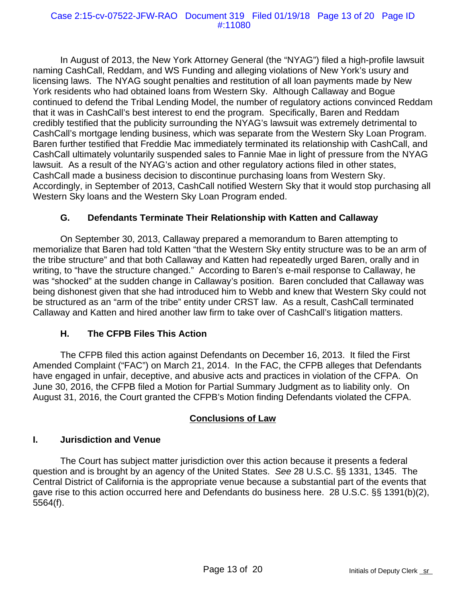In August of 2013, the New York Attorney General (the "NYAG") filed a high-profile lawsuit naming CashCall, Reddam, and WS Funding and alleging violations of New York's usury and licensing laws. The NYAG sought penalties and restitution of all loan payments made by New York residents who had obtained loans from Western Sky. Although Callaway and Bogue continued to defend the Tribal Lending Model, the number of regulatory actions convinced Reddam that it was in CashCall's best interest to end the program. Specifically, Baren and Reddam credibly testified that the publicity surrounding the NYAG's lawsuit was extremely detrimental to CashCall's mortgage lending business, which was separate from the Western Sky Loan Program. Baren further testified that Freddie Mac immediately terminated its relationship with CashCall, and CashCall ultimately voluntarily suspended sales to Fannie Mae in light of pressure from the NYAG lawsuit. As a result of the NYAG's action and other regulatory actions filed in other states, CashCall made a business decision to discontinue purchasing loans from Western Sky. Accordingly, in September of 2013, CashCall notified Western Sky that it would stop purchasing all Western Sky loans and the Western Sky Loan Program ended.

### **G. Defendants Terminate Their Relationship with Katten and Callaway**

On September 30, 2013, Callaway prepared a memorandum to Baren attempting to memorialize that Baren had told Katten "that the Western Sky entity structure was to be an arm of the tribe structure" and that both Callaway and Katten had repeatedly urged Baren, orally and in writing, to "have the structure changed." According to Baren's e-mail response to Callaway, he was "shocked" at the sudden change in Callaway's position. Baren concluded that Callaway was being dishonest given that she had introduced him to Webb and knew that Western Sky could not be structured as an "arm of the tribe" entity under CRST law. As a result, CashCall terminated Callaway and Katten and hired another law firm to take over of CashCall's litigation matters.

#### **H. The CFPB Files This Action**

The CFPB filed this action against Defendants on December 16, 2013. It filed the First Amended Complaint ("FAC") on March 21, 2014. In the FAC, the CFPB alleges that Defendants have engaged in unfair, deceptive, and abusive acts and practices in violation of the CFPA. On June 30, 2016, the CFPB filed a Motion for Partial Summary Judgment as to liability only. On August 31, 2016, the Court granted the CFPB's Motion finding Defendants violated the CFPA.

#### **Conclusions of Law**

## **I. Jurisdiction and Venue**

The Court has subject matter jurisdiction over this action because it presents a federal question and is brought by an agency of the United States. *See* 28 U.S.C. §§ 1331, 1345. The Central District of California is the appropriate venue because a substantial part of the events that gave rise to this action occurred here and Defendants do business here. 28 U.S.C. §§ 1391(b)(2), 5564(f).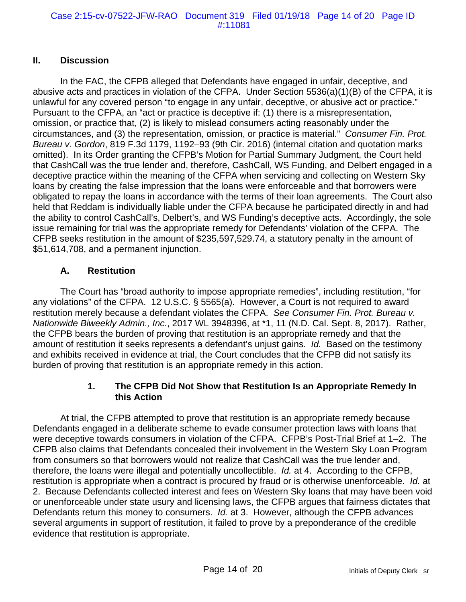### **II. Discussion**

In the FAC, the CFPB alleged that Defendants have engaged in unfair, deceptive, and abusive acts and practices in violation of the CFPA. Under Section 5536(a)(1)(B) of the CFPA, it is unlawful for any covered person "to engage in any unfair, deceptive, or abusive act or practice." Pursuant to the CFPA, an "act or practice is deceptive if: (1) there is a misrepresentation, omission, or practice that, (2) is likely to mislead consumers acting reasonably under the circumstances, and (3) the representation, omission, or practice is material." *Consumer Fin. Prot. Bureau v. Gordon*, 819 F.3d 1179, 1192–93 (9th Cir. 2016) (internal citation and quotation marks omitted). In its Order granting the CFPB's Motion for Partial Summary Judgment, the Court held that CashCall was the true lender and, therefore, CashCall, WS Funding, and Delbert engaged in a deceptive practice within the meaning of the CFPA when servicing and collecting on Western Sky loans by creating the false impression that the loans were enforceable and that borrowers were obligated to repay the loans in accordance with the terms of their loan agreements. The Court also held that Reddam is individually liable under the CFPA because he participated directly in and had the ability to control CashCall's, Delbert's, and WS Funding's deceptive acts. Accordingly, the sole issue remaining for trial was the appropriate remedy for Defendants' violation of the CFPA. The CFPB seeks restitution in the amount of \$235,597,529.74, a statutory penalty in the amount of \$51,614,708, and a permanent injunction.

### **A. Restitution**

The Court has "broad authority to impose appropriate remedies", including restitution, "for any violations" of the CFPA. 12 U.S.C. § 5565(a). However, a Court is not required to award restitution merely because a defendant violates the CFPA. *See Consumer Fin. Prot. Bureau v. Nationwide Biweekly Admin., Inc.*, 2017 WL 3948396, at \*1, 11 (N.D. Cal. Sept. 8, 2017). Rather, the CFPB bears the burden of proving that restitution is an appropriate remedy and that the amount of restitution it seeks represents a defendant's unjust gains. *Id.* Based on the testimony and exhibits received in evidence at trial, the Court concludes that the CFPB did not satisfy its burden of proving that restitution is an appropriate remedy in this action.

### **1. The CFPB Did Not Show that Restitution Is an Appropriate Remedy In this Action**

At trial, the CFPB attempted to prove that restitution is an appropriate remedy because Defendants engaged in a deliberate scheme to evade consumer protection laws with loans that were deceptive towards consumers in violation of the CFPA. CFPB's Post-Trial Brief at 1–2. The CFPB also claims that Defendants concealed their involvement in the Western Sky Loan Program from consumers so that borrowers would not realize that CashCall was the true lender and, therefore, the loans were illegal and potentially uncollectible. *Id.* at 4. According to the CFPB, restitution is appropriate when a contract is procured by fraud or is otherwise unenforceable. *Id.* at 2. Because Defendants collected interest and fees on Western Sky loans that may have been void or unenforceable under state usury and licensing laws, the CFPB argues that fairness dictates that Defendants return this money to consumers. *Id.* at 3. However, although the CFPB advances several arguments in support of restitution, it failed to prove by a preponderance of the credible evidence that restitution is appropriate.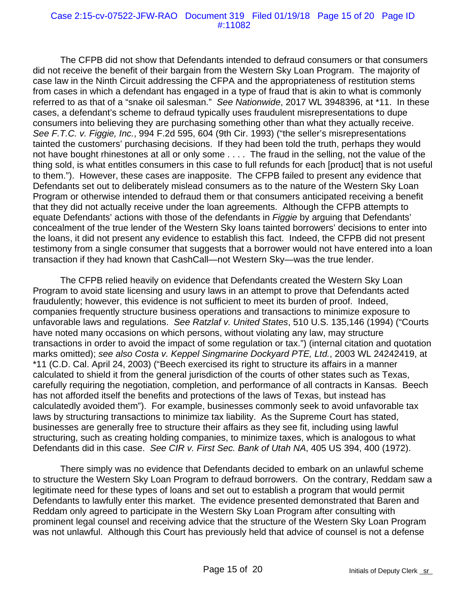#### Case 2:15-cv-07522-JFW-RAO Document 319 Filed 01/19/18 Page 15 of 20 Page ID #:11082

The CFPB did not show that Defendants intended to defraud consumers or that consumers did not receive the benefit of their bargain from the Western Sky Loan Program. The majority of case law in the Ninth Circuit addressing the CFPA and the appropriateness of restitution stems from cases in which a defendant has engaged in a type of fraud that is akin to what is commonly referred to as that of a "snake oil salesman." *See Nationwide*, 2017 WL 3948396, at \*11. In these cases, a defendant's scheme to defraud typically uses fraudulent misrepresentations to dupe consumers into believing they are purchasing something other than what they actually receive. *See F.T.C. v. Figgie, Inc.*, 994 F.2d 595, 604 (9th Cir. 1993) ("the seller's misrepresentations tainted the customers' purchasing decisions. If they had been told the truth, perhaps they would not have bought rhinestones at all or only some . . . . The fraud in the selling, not the value of the thing sold, is what entitles consumers in this case to full refunds for each [product] that is not useful to them."). However, these cases are inapposite. The CFPB failed to present any evidence that Defendants set out to deliberately mislead consumers as to the nature of the Western Sky Loan Program or otherwise intended to defraud them or that consumers anticipated receiving a benefit that they did not actually receive under the loan agreements. Although the CFPB attempts to equate Defendants' actions with those of the defendants in *Figgie* by arguing that Defendants' concealment of the true lender of the Western Sky loans tainted borrowers' decisions to enter into the loans, it did not present any evidence to establish this fact. Indeed, the CFPB did not present testimony from a single consumer that suggests that a borrower would not have entered into a loan transaction if they had known that CashCall—not Western Sky—was the true lender.

The CFPB relied heavily on evidence that Defendants created the Western Sky Loan Program to avoid state licensing and usury laws in an attempt to prove that Defendants acted fraudulently; however, this evidence is not sufficient to meet its burden of proof. Indeed, companies frequently structure business operations and transactions to minimize exposure to unfavorable laws and regulations. *See Ratzlaf v. United States*, 510 U.S. 135,146 (1994) ("Courts have noted many occasions on which persons, without violating any law, may structure transactions in order to avoid the impact of some regulation or tax.") (internal citation and quotation marks omitted); *see also Costa v. Keppel Singmarine Dockyard PTE, Ltd.*, 2003 WL 24242419, at \*11 (C.D. Cal. April 24, 2003) ("Beech exercised its right to structure its affairs in a manner calculated to shield it from the general jurisdiction of the courts of other states such as Texas, carefully requiring the negotiation, completion, and performance of all contracts in Kansas. Beech has not afforded itself the benefits and protections of the laws of Texas, but instead has calculatedly avoided them"). For example, businesses commonly seek to avoid unfavorable tax laws by structuring transactions to minimize tax liability. As the Supreme Court has stated, businesses are generally free to structure their affairs as they see fit, including using lawful structuring, such as creating holding companies, to minimize taxes, which is analogous to what Defendants did in this case. *See CIR v. First Sec. Bank of Utah NA*, 405 US 394, 400 (1972).

There simply was no evidence that Defendants decided to embark on an unlawful scheme to structure the Western Sky Loan Program to defraud borrowers. On the contrary, Reddam saw a legitimate need for these types of loans and set out to establish a program that would permit Defendants to lawfully enter this market. The evidence presented demonstrated that Baren and Reddam only agreed to participate in the Western Sky Loan Program after consulting with prominent legal counsel and receiving advice that the structure of the Western Sky Loan Program was not unlawful. Although this Court has previously held that advice of counsel is not a defense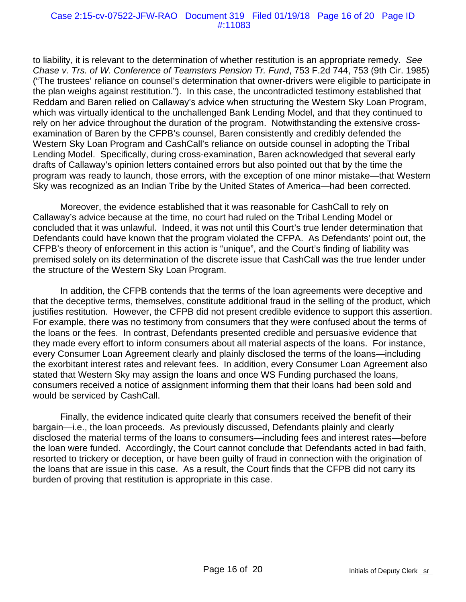#### Case 2:15-cv-07522-JFW-RAO Document 319 Filed 01/19/18 Page 16 of 20 Page ID #:11083

to liability, it is relevant to the determination of whether restitution is an appropriate remedy. *See Chase v. Trs. of W. Conference of Teamsters Pension Tr. Fund*, 753 F.2d 744, 753 (9th Cir. 1985) ("The trustees' reliance on counsel's determination that owner-drivers were eligible to participate in the plan weighs against restitution."). In this case, the uncontradicted testimony established that Reddam and Baren relied on Callaway's advice when structuring the Western Sky Loan Program, which was virtually identical to the unchallenged Bank Lending Model, and that they continued to rely on her advice throughout the duration of the program. Notwithstanding the extensive crossexamination of Baren by the CFPB's counsel, Baren consistently and credibly defended the Western Sky Loan Program and CashCall's reliance on outside counsel in adopting the Tribal Lending Model. Specifically, during cross-examination, Baren acknowledged that several early drafts of Callaway's opinion letters contained errors but also pointed out that by the time the program was ready to launch, those errors, with the exception of one minor mistake—that Western Sky was recognized as an Indian Tribe by the United States of America—had been corrected.

Moreover, the evidence established that it was reasonable for CashCall to rely on Callaway's advice because at the time, no court had ruled on the Tribal Lending Model or concluded that it was unlawful. Indeed, it was not until this Court's true lender determination that Defendants could have known that the program violated the CFPA. As Defendants' point out, the CFPB's theory of enforcement in this action is "unique", and the Court's finding of liability was premised solely on its determination of the discrete issue that CashCall was the true lender under the structure of the Western Sky Loan Program.

In addition, the CFPB contends that the terms of the loan agreements were deceptive and that the deceptive terms, themselves, constitute additional fraud in the selling of the product, which justifies restitution. However, the CFPB did not present credible evidence to support this assertion. For example, there was no testimony from consumers that they were confused about the terms of the loans or the fees. In contrast, Defendants presented credible and persuasive evidence that they made every effort to inform consumers about all material aspects of the loans. For instance, every Consumer Loan Agreement clearly and plainly disclosed the terms of the loans—including the exorbitant interest rates and relevant fees. In addition, every Consumer Loan Agreement also stated that Western Sky may assign the loans and once WS Funding purchased the loans, consumers received a notice of assignment informing them that their loans had been sold and would be serviced by CashCall.

Finally, the evidence indicated quite clearly that consumers received the benefit of their bargain—i.e., the loan proceeds. As previously discussed, Defendants plainly and clearly disclosed the material terms of the loans to consumers—including fees and interest rates—before the loan were funded. Accordingly, the Court cannot conclude that Defendants acted in bad faith, resorted to trickery or deception, or have been guilty of fraud in connection with the origination of the loans that are issue in this case. As a result, the Court finds that the CFPB did not carry its burden of proving that restitution is appropriate in this case.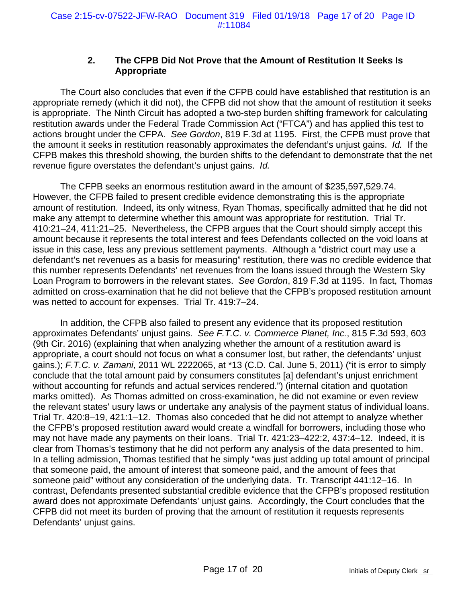## **2. The CFPB Did Not Prove that the Amount of Restitution It Seeks Is Appropriate**

The Court also concludes that even if the CFPB could have established that restitution is an appropriate remedy (which it did not), the CFPB did not show that the amount of restitution it seeks is appropriate. The Ninth Circuit has adopted a two-step burden shifting framework for calculating restitution awards under the Federal Trade Commission Act ("FTCA") and has applied this test to actions brought under the CFPA. *See Gordon*, 819 F.3d at 1195. First, the CFPB must prove that the amount it seeks in restitution reasonably approximates the defendant's unjust gains. *Id.* If the CFPB makes this threshold showing, the burden shifts to the defendant to demonstrate that the net revenue figure overstates the defendant's unjust gains. *Id.*

The CFPB seeks an enormous restitution award in the amount of \$235,597,529.74. However, the CFPB failed to present credible evidence demonstrating this is the appropriate amount of restitution. Indeed, its only witness, Ryan Thomas, specifically admitted that he did not make any attempt to determine whether this amount was appropriate for restitution. Trial Tr. 410:21–24, 411:21–25. Nevertheless, the CFPB argues that the Court should simply accept this amount because it represents the total interest and fees Defendants collected on the void loans at issue in this case, less any previous settlement payments. Although a "district court may use a defendant's net revenues as a basis for measuring" restitution, there was no credible evidence that this number represents Defendants' net revenues from the loans issued through the Western Sky Loan Program to borrowers in the relevant states. *See Gordon*, 819 F.3d at 1195. In fact, Thomas admitted on cross-examination that he did not believe that the CFPB's proposed restitution amount was netted to account for expenses. Trial Tr. 419:7–24.

In addition, the CFPB also failed to present any evidence that its proposed restitution approximates Defendants' unjust gains. *See F.T.C. v. Commerce Planet, Inc.*, 815 F.3d 593, 603 (9th Cir. 2016) (explaining that when analyzing whether the amount of a restitution award is appropriate, a court should not focus on what a consumer lost, but rather, the defendants' unjust gains.); *F.T.C. v. Zamani*, 2011 WL 2222065, at \*13 (C.D. Cal. June 5, 2011) ("it is error to simply conclude that the total amount paid by consumers constitutes [a] defendant's unjust enrichment without accounting for refunds and actual services rendered.") (internal citation and quotation marks omitted). As Thomas admitted on cross-examination, he did not examine or even review the relevant states' usury laws or undertake any analysis of the payment status of individual loans. Trial Tr. 420:8–19, 421:1–12. Thomas also conceded that he did not attempt to analyze whether the CFPB's proposed restitution award would create a windfall for borrowers, including those who may not have made any payments on their loans. Trial Tr. 421:23–422:2, 437:4–12. Indeed, it is clear from Thomas's testimony that he did not perform any analysis of the data presented to him. In a telling admission, Thomas testified that he simply "was just adding up total amount of principal that someone paid, the amount of interest that someone paid, and the amount of fees that someone paid" without any consideration of the underlying data. Tr. Transcript 441:12–16. In contrast, Defendants presented substantial credible evidence that the CFPB's proposed restitution award does not approximate Defendants' unjust gains. Accordingly, the Court concludes that the CFPB did not meet its burden of proving that the amount of restitution it requests represents Defendants' unjust gains.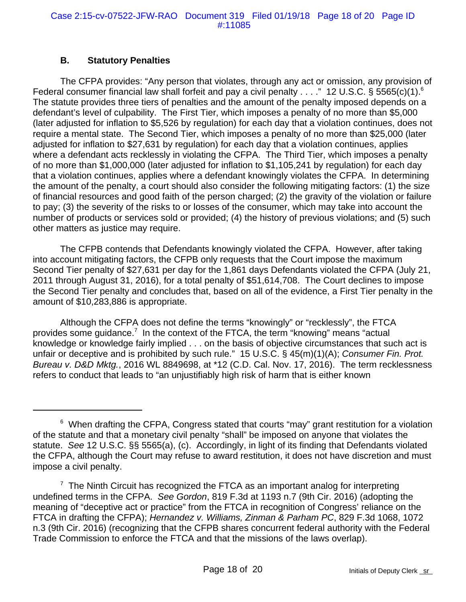## **B. Statutory Penalties**

The CFPA provides: "Any person that violates, through any act or omission, any provision of Federal consumer financial law shall forfeit and pay a civil penalty . . . ." 12 U.S.C. § 5565(c)(1).<sup>6</sup> The statute provides three tiers of penalties and the amount of the penalty imposed depends on a defendant's level of culpability. The First Tier, which imposes a penalty of no more than \$5,000 (later adjusted for inflation to \$5,526 by regulation) for each day that a violation continues, does not require a mental state. The Second Tier, which imposes a penalty of no more than \$25,000 (later adjusted for inflation to \$27,631 by regulation) for each day that a violation continues, applies where a defendant acts recklessly in violating the CFPA. The Third Tier, which imposes a penalty of no more than \$1,000,000 (later adjusted for inflation to \$1,105,241 by regulation) for each day that a violation continues, applies where a defendant knowingly violates the CFPA. In determining the amount of the penalty, a court should also consider the following mitigating factors: (1) the size of financial resources and good faith of the person charged; (2) the gravity of the violation or failure to pay; (3) the severity of the risks to or losses of the consumer, which may take into account the number of products or services sold or provided; (4) the history of previous violations; and (5) such other matters as justice may require.

The CFPB contends that Defendants knowingly violated the CFPA. However, after taking into account mitigating factors, the CFPB only requests that the Court impose the maximum Second Tier penalty of \$27,631 per day for the 1,861 days Defendants violated the CFPA (July 21, 2011 through August 31, 2016), for a total penalty of \$51,614,708. The Court declines to impose the Second Tier penalty and concludes that, based on all of the evidence, a First Tier penalty in the amount of \$10,283,886 is appropriate.

Although the CFPA does not define the terms "knowingly" or "recklessly", the FTCA provides some guidance.<sup>7</sup> In the context of the FTCA, the term "knowing" means "actual knowledge or knowledge fairly implied . . . on the basis of objective circumstances that such act is unfair or deceptive and is prohibited by such rule." 15 U.S.C. § 45(m)(1)(A); *Consumer Fin. Prot. Bureau v. D&D Mktg.*, 2016 WL 8849698, at \*12 (C.D. Cal. Nov. 17, 2016). The term recklessness refers to conduct that leads to "an unjustifiably high risk of harm that is either known

<sup>&</sup>lt;sup>6</sup> When drafting the CFPA, Congress stated that courts "may" grant restitution for a violation of the statute and that a monetary civil penalty "shall" be imposed on anyone that violates the statute. *See* 12 U.S.C. §§ 5565(a), (c). Accordingly, in light of its finding that Defendants violated the CFPA, although the Court may refuse to award restitution, it does not have discretion and must impose a civil penalty.

 $7$  The Ninth Circuit has recognized the FTCA as an important analog for interpreting undefined terms in the CFPA. *See Gordon*, 819 F.3d at 1193 n.7 (9th Cir. 2016) (adopting the meaning of "deceptive act or practice" from the FTCA in recognition of Congress' reliance on the FTCA in drafting the CFPA); *Hernandez v. Williams, Zinman & Parham PC*, 829 F.3d 1068, 1072 n.3 (9th Cir. 2016) (recognizing that the CFPB shares concurrent federal authority with the Federal Trade Commission to enforce the FTCA and that the missions of the laws overlap).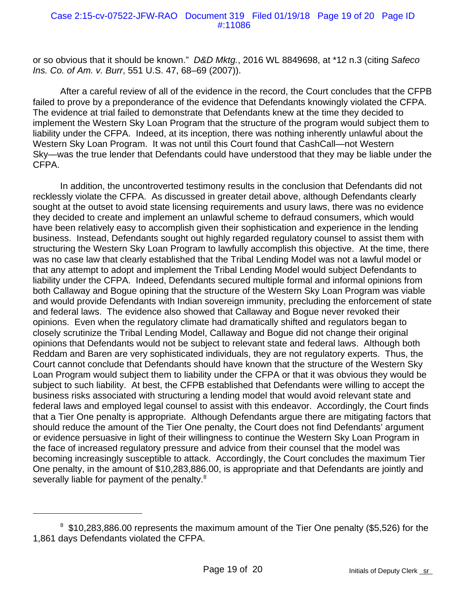or so obvious that it should be known." *D&D Mktg.*, 2016 WL 8849698, at \*12 n.3 (citing *Safeco Ins. Co. of Am. v. Burr*, 551 U.S. 47, 68–69 (2007)).

After a careful review of all of the evidence in the record, the Court concludes that the CFPB failed to prove by a preponderance of the evidence that Defendants knowingly violated the CFPA. The evidence at trial failed to demonstrate that Defendants knew at the time they decided to implement the Western Sky Loan Program that the structure of the program would subject them to liability under the CFPA. Indeed, at its inception, there was nothing inherently unlawful about the Western Sky Loan Program. It was not until this Court found that CashCall—not Western Sky—was the true lender that Defendants could have understood that they may be liable under the CFPA.

In addition, the uncontroverted testimony results in the conclusion that Defendants did not recklessly violate the CFPA. As discussed in greater detail above, although Defendants clearly sought at the outset to avoid state licensing requirements and usury laws, there was no evidence they decided to create and implement an unlawful scheme to defraud consumers, which would have been relatively easy to accomplish given their sophistication and experience in the lending business. Instead, Defendants sought out highly regarded regulatory counsel to assist them with structuring the Western Sky Loan Program to lawfully accomplish this objective. At the time, there was no case law that clearly established that the Tribal Lending Model was not a lawful model or that any attempt to adopt and implement the Tribal Lending Model would subject Defendants to liability under the CFPA. Indeed, Defendants secured multiple formal and informal opinions from both Callaway and Bogue opining that the structure of the Western Sky Loan Program was viable and would provide Defendants with Indian sovereign immunity, precluding the enforcement of state and federal laws. The evidence also showed that Callaway and Bogue never revoked their opinions. Even when the regulatory climate had dramatically shifted and regulators began to closely scrutinize the Tribal Lending Model, Callaway and Bogue did not change their original opinions that Defendants would not be subject to relevant state and federal laws. Although both Reddam and Baren are very sophisticated individuals, they are not regulatory experts. Thus, the Court cannot conclude that Defendants should have known that the structure of the Western Sky Loan Program would subject them to liability under the CFPA or that it was obvious they would be subject to such liability. At best, the CFPB established that Defendants were willing to accept the business risks associated with structuring a lending model that would avoid relevant state and federal laws and employed legal counsel to assist with this endeavor. Accordingly, the Court finds that a Tier One penalty is appropriate. Although Defendants argue there are mitigating factors that should reduce the amount of the Tier One penalty, the Court does not find Defendants' argument or evidence persuasive in light of their willingness to continue the Western Sky Loan Program in the face of increased regulatory pressure and advice from their counsel that the model was becoming increasingly susceptible to attack. Accordingly, the Court concludes the maximum Tier One penalty, in the amount of \$10,283,886.00, is appropriate and that Defendants are jointly and severally liable for payment of the penalty. $8$ 

<sup>&</sup>lt;sup>8</sup> \$10,283,886.00 represents the maximum amount of the Tier One penalty (\$5,526) for the 1,861 days Defendants violated the CFPA.